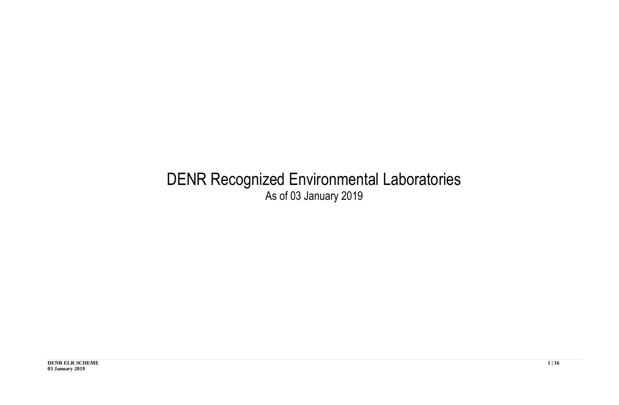## DENR Recognized Environmental Laboratories As of 03 January 2019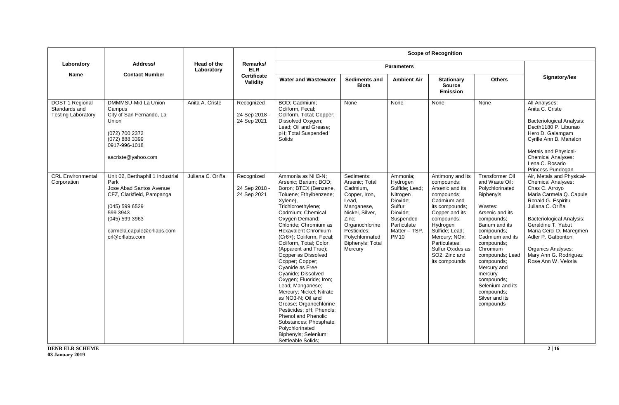|                                                               |                                                                                                                                                                                                     |                           |                                            |                                                                                                                                                                                                                                                                                                                                                                                                                                                                                                                                                                                                                                                                               |                                                                                                                                                                                                 |                                                                                                                                                  | <b>Scope of Recognition</b>                                                                                                                                                                                                                            |                                                                                                                                                                                                                                                                                                                                             |                                                                                                                                                                                                                                                                                                                                       |
|---------------------------------------------------------------|-----------------------------------------------------------------------------------------------------------------------------------------------------------------------------------------------------|---------------------------|--------------------------------------------|-------------------------------------------------------------------------------------------------------------------------------------------------------------------------------------------------------------------------------------------------------------------------------------------------------------------------------------------------------------------------------------------------------------------------------------------------------------------------------------------------------------------------------------------------------------------------------------------------------------------------------------------------------------------------------|-------------------------------------------------------------------------------------------------------------------------------------------------------------------------------------------------|--------------------------------------------------------------------------------------------------------------------------------------------------|--------------------------------------------------------------------------------------------------------------------------------------------------------------------------------------------------------------------------------------------------------|---------------------------------------------------------------------------------------------------------------------------------------------------------------------------------------------------------------------------------------------------------------------------------------------------------------------------------------------|---------------------------------------------------------------------------------------------------------------------------------------------------------------------------------------------------------------------------------------------------------------------------------------------------------------------------------------|
| Laboratory                                                    | Address/                                                                                                                                                                                            | Head of the<br>Laboratory | Remarks/<br><b>ELR</b>                     |                                                                                                                                                                                                                                                                                                                                                                                                                                                                                                                                                                                                                                                                               |                                                                                                                                                                                                 | <b>Parameters</b>                                                                                                                                |                                                                                                                                                                                                                                                        |                                                                                                                                                                                                                                                                                                                                             |                                                                                                                                                                                                                                                                                                                                       |
| <b>Name</b>                                                   | <b>Contact Number</b>                                                                                                                                                                               |                           | Certificate<br>Validity                    | <b>Water and Wastewater</b>                                                                                                                                                                                                                                                                                                                                                                                                                                                                                                                                                                                                                                                   | <b>Sediments and</b><br><b>Biota</b>                                                                                                                                                            | <b>Ambient Air</b>                                                                                                                               | <b>Stationary</b><br><b>Source</b><br><b>Emission</b>                                                                                                                                                                                                  | <b>Others</b>                                                                                                                                                                                                                                                                                                                               | Signatory/ies                                                                                                                                                                                                                                                                                                                         |
| DOST 1 Regional<br>Standards and<br><b>Testing Laboratory</b> | DMMMSU-Mid La Union<br>Campus<br>City of San Fernando, La<br>Union<br>(072) 700 2372<br>(072) 888 3399<br>0917-996-1018<br>aacriste@yahoo.com                                                       | Anita A. Criste           | Recognized<br>24 Sep 2018 -<br>24 Sep 2021 | BOD; Cadmium;<br>Coliform, Fecal;<br>Coliform, Total; Copper;<br>Dissolved Oxygen;<br>Lead; Oil and Grease;<br>pH; Total Suspended<br>Solids                                                                                                                                                                                                                                                                                                                                                                                                                                                                                                                                  | None                                                                                                                                                                                            | None                                                                                                                                             | None                                                                                                                                                                                                                                                   | None                                                                                                                                                                                                                                                                                                                                        | All Analyses:<br>Anita C. Criste<br><b>Bacteriological Analysis:</b><br>Decth1180 P. Libunao<br>Hero D. Galamgam<br>Cyrille Ann B. Manalon<br>Metals and Physical-<br><b>Chemical Analyses:</b><br>Lena C. Rosario<br>Princess Pundogan                                                                                               |
| <b>CRL Environmental</b><br>Corporation                       | Unit 02, Berthaphil 1 Industrial<br>Park<br>Jose Abad Santos Avenue<br>CFZ, Clarkfield, Pampanga<br>(045) 599 6529<br>599 3943<br>$(045)$ 599 3963<br>carmela.capule@crllabs.com<br>crl@crllabs.com | Juliana C. Oriña          | Recognized<br>24 Sep 2018 -<br>24 Sep 2021 | Ammonia as NH3-N;<br>Arsenic; Barium; BOD;<br>Boron; BTEX (Benzene,<br>Toluene; Ethylbenzene;<br>Xylene),<br>Trichloroethylene;<br>Cadmium; Chemical<br>Oxygen Demand;<br>Chloride; Chromium as<br><b>Hexavalent Chromium</b><br>(Cr6+); Coliform, Fecal;<br>Coliform, Total; Color<br>(Apparent and True);<br>Copper as Dissolved<br>Copper; Copper;<br>Cyanide as Free<br>Cyanide; Dissolved<br>Oxygen; Fluoride; Iron;<br>Lead; Manganese;<br>Mercury; Nickel; Nitrate<br>as NO3-N; Oil and<br>Grease; Organochlorine<br>Pesticides; pH; Phenols;<br><b>Phenol and Phenolic</b><br>Substances; Phosphate;<br>Polychlorinated<br>Biphenyls; Selenium;<br>Settleable Solids; | Sediments:<br>Arsenic: Total<br>Cadmium,<br>Copper, Iron,<br>Lead.<br>Manganese,<br>Nickel, Silver,<br>Zinc:<br>Organochlorine<br>Pesticides:<br>Polychlorinated<br>Biphenyls; Total<br>Mercury | Ammonia;<br>Hydrogen<br>Sulfide; Lead;<br>Nitrogen<br>Dioxide;<br>Sulfur<br>Dioxide:<br>Suspended<br>Particulate<br>Matter - TSP.<br><b>PM10</b> | Antimony and its<br>compounds;<br>Arsenic and its<br>compounds;<br>Cadmium and<br>its compounds;<br>Copper and its<br>compounds;<br>Hydrogen<br>Sulfide; Lead;<br>Mercury; NOx;<br>Particulates:<br>Sulfur Oxides as<br>SO2; Zinc and<br>its compounds | <b>Transformer Oil</b><br>and Waste Oil:<br>Polychlorinated<br>Biphenyls<br>Wastes:<br>Arsenic and its<br>compounds;<br>Barium and its<br>compounds;<br>Cadmium and its<br>compounds;<br>Chromium<br>compounds; Lead<br>compounds;<br>Mercury and<br>mercury<br>compounds;<br>Selenium and its<br>compounds:<br>Silver and its<br>compounds | Air, Metals and Physical-<br><b>Chemical Analyses:</b><br>Chas C. Arroyo<br>Maria Carmela Q. Capule<br>Ronald G. Espiritu<br>Juliana C. Oriña<br><b>Bacteriological Analysis:</b><br>Geraldine T. Yabut<br>Maria Cerci D. Maregmen<br>Adler P. Gatbonton<br><b>Organics Analyses:</b><br>Mary Ann G. Rodriguez<br>Rose Ann W. Veloria |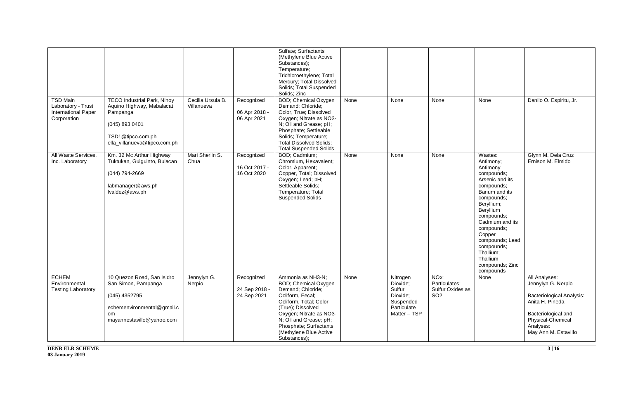| <b>TSD Main</b><br>Laboratory - Trust<br><b>International Paper</b><br>Corporation | <b>TECO Industrial Park, Ninoy</b><br>Aquino Highway, Mabalacat<br>Pampanga<br>(045) 893 0401<br>TSD1@tipco.com.ph<br>ella_villanueva@tipco.com.ph | Cecilia Ursula B.<br>Villanueva | Recognized<br>06 Apr 2018 -<br>06 Apr 2021 | Sulfate; Surfactants<br>(Methylene Blue Active<br>Substances);<br>Temperature;<br>Trichloroethylene; Total<br>Mercury; Total Dissolved<br>Solids; Total Suspended<br>Solids; Zinc<br><b>BOD</b> ; Chemical Oxygen<br>Demand; Chloride;<br>Color, True; Dissolved<br>Oxygen; Nitrate as NO3-<br>N; Oil and Grease; pH;<br>Phosphate; Settleable<br>Solids; Temperature;<br><b>Total Dissolved Solids;</b> | None | None                                                                                   | None                                                                      | None                                                                                                                                                                                                                                                                                          | Danilo O. Espiritu, Jr.                                                                                                                                              |
|------------------------------------------------------------------------------------|----------------------------------------------------------------------------------------------------------------------------------------------------|---------------------------------|--------------------------------------------|----------------------------------------------------------------------------------------------------------------------------------------------------------------------------------------------------------------------------------------------------------------------------------------------------------------------------------------------------------------------------------------------------------|------|----------------------------------------------------------------------------------------|---------------------------------------------------------------------------|-----------------------------------------------------------------------------------------------------------------------------------------------------------------------------------------------------------------------------------------------------------------------------------------------|----------------------------------------------------------------------------------------------------------------------------------------------------------------------|
| All Waste Services,<br>Inc. Laboratory                                             | Km. 32 Mc Arthur Highway<br>Tuktukan, Guiguinto, Bulacan<br>(044) 794-2669<br>labmanager@aws.ph<br>Ivaldez@aws.ph                                  | Mari Sherlin S.<br>Chua         | Recognized<br>16 Oct 2017 -<br>16 Oct 2020 | <b>Total Suspended Solids</b><br>BOD; Cadmium;<br>Chromium, Hexavalent;<br>Color, Apparent;<br>Copper, Total; Dissolved<br>Oxygen; Lead; pH;<br>Settleable Solids:<br>Temperature; Total<br><b>Suspended Solids</b>                                                                                                                                                                                      | None | None                                                                                   | None                                                                      | Wastes:<br>Antimony;<br>Antimony<br>compounds;<br>Arsenic and its<br>compounds;<br>Barium and its<br>compounds;<br>Beryllium;<br>Beryllium<br>compounds;<br>Cadmium and its<br>compounds;<br>Copper<br>compounds; Lead<br>compounds;<br>Thallium;<br>Thallium<br>compounds; Zinc<br>compounds | Glynn M. Dela Cruz<br>Ernison M. Elmido                                                                                                                              |
| <b>ECHEM</b><br>Environmental<br><b>Testing Laboratory</b>                         | 10 Quezon Road, San Isidro<br>San Simon, Pampanga<br>(045) 4352795<br>echemenvironmental@gmail.c<br>om<br>mayannestavillo@yahoo.com                | Jennylyn G.<br>Nerpio           | Recognized<br>24 Sep 2018 -<br>24 Sep 2021 | Ammonia as NH3-N;<br>BOD; Chemical Oxygen<br>Demand; Chloride;<br>Coliform, Fecal:<br>Coliform, Total; Color<br>(True); Dissolved<br>Oxygen; Nitrate as NO3-<br>N; Oil and Grease; pH;<br>Phosphate; Surfactants<br>(Methylene Blue Active<br>Substances);                                                                                                                                               | None | Nitrogen<br>Dioxide;<br>Sulfur<br>Dioxide:<br>Suspended<br>Particulate<br>Matter - TSP | NO <sub>x</sub> ;<br>Particulates;<br>Sulfur Oxides as<br>SO <sub>2</sub> | None                                                                                                                                                                                                                                                                                          | All Analyses:<br>Jennylyn G. Nerpio<br>Bacteriological Analysis:<br>Anita H. Pineda<br>Bacteriological and<br>Physical-Chemical<br>Analyses:<br>May Ann M. Estavillo |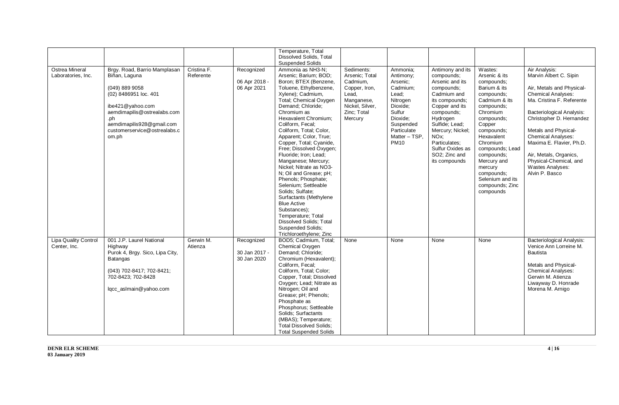| <b>Ostrea Mineral</b><br>Laboratories, Inc. | Brgy. Road, Barrio Mamplasan<br>Biñan, Laguna<br>(049) 889 9058<br>(02) 8486951 loc. 401<br>ibe421@yahoo.com<br>aemdimapilis@ostrealabs.com<br>.ph<br>aemdimapilis928@gmail.com<br>customerservice@ostrealabs.c<br>om.ph | Cristina F.<br>Referente | Recognized<br>06 Apr 2018 -<br>06 Apr 2021 | Temperature, Total<br>Dissolved Solids, Total<br><b>Suspended Solids</b><br>Ammonia as NH3-N:<br>Arsenic; Barium; BOD;<br>Boron; BTEX (Benzene,<br>Toluene, Ethylbenzene,<br>Xylene); Cadmium,<br>Total; Chemical Oxygen<br>Demand; Chloride;<br>Chromium as<br><b>Hexavalent Chromium:</b><br>Coliform, Fecal;<br>Coliform, Total; Color,<br>Apparent: Color, True:<br>Copper, Total; Cyanide,<br>Free; Dissolved Oxygen;<br>Fluoride; Iron; Lead;<br>Manganese; Mercury;<br>Nickel; Nitrate as NO3-<br>N; Oil and Grease; pH;<br>Phenols; Phosphate;<br>Selenium; Settleable<br>Solids; Sulfate;<br>Surfactants (Methylene<br><b>Blue Active</b><br>Substances);<br>Temperature; Total<br><b>Dissolved Solids: Total</b> | Sediments:<br>Arsenic; Total<br>Cadmium.<br>Copper, Iron,<br>Lead.<br>Manganese,<br>Nickel, Silver,<br>Zinc; Total<br>Mercury | Ammonia;<br>Antimony;<br>Arsenic;<br>Cadmium;<br>Lead:<br>Nitrogen<br>Dioxide;<br>Sulfur<br>Dioxide:<br>Suspended<br>Particulate<br>Matter - TSP.<br><b>PM10</b> | Antimony and its<br>compounds;<br>Arsenic and its<br>compounds;<br>Cadmium and<br>its compounds;<br>Copper and its<br>compounds;<br>Hydrogen<br>Sulfide; Lead;<br>Mercury; Nickel;<br>NO <sub>x</sub> :<br>Particulates;<br>Sulfur Oxides as<br>SO2; Zinc and<br>its compounds | Wastes:<br>Arsenic & its<br>compounds;<br>Barium & its<br>compounds:<br>Cadmium & its<br>compounds;<br>Chromium<br>compounds;<br>Copper<br>compounds;<br>Hexavalent<br>Chromium<br>compounds; Lead<br>compounds;<br>Mercury and<br>mercury<br>compounds;<br>Selenium and its<br>compounds; Zinc<br>compounds | Air Analysis:<br>Marvin Albert C. Sipin<br>Air, Metals and Physical-<br><b>Chemical Analyses:</b><br>Ma. Cristina F. Referente<br><b>Bacteriological Analysis:</b><br>Christopher D. Hernandez<br>Metals and Physical-<br><b>Chemical Analyses:</b><br>Maxima E. Flavier, Ph.D.<br>Air, Metals, Organics,<br>Physical-Chemical, and<br>Wastes Analyses:<br>Alvin P. Basco |
|---------------------------------------------|--------------------------------------------------------------------------------------------------------------------------------------------------------------------------------------------------------------------------|--------------------------|--------------------------------------------|----------------------------------------------------------------------------------------------------------------------------------------------------------------------------------------------------------------------------------------------------------------------------------------------------------------------------------------------------------------------------------------------------------------------------------------------------------------------------------------------------------------------------------------------------------------------------------------------------------------------------------------------------------------------------------------------------------------------------|-------------------------------------------------------------------------------------------------------------------------------|------------------------------------------------------------------------------------------------------------------------------------------------------------------|--------------------------------------------------------------------------------------------------------------------------------------------------------------------------------------------------------------------------------------------------------------------------------|--------------------------------------------------------------------------------------------------------------------------------------------------------------------------------------------------------------------------------------------------------------------------------------------------------------|---------------------------------------------------------------------------------------------------------------------------------------------------------------------------------------------------------------------------------------------------------------------------------------------------------------------------------------------------------------------------|
|                                             |                                                                                                                                                                                                                          |                          |                                            | Suspended Solids;<br>Trichloroethylene; Zinc                                                                                                                                                                                                                                                                                                                                                                                                                                                                                                                                                                                                                                                                               |                                                                                                                               |                                                                                                                                                                  |                                                                                                                                                                                                                                                                                |                                                                                                                                                                                                                                                                                                              |                                                                                                                                                                                                                                                                                                                                                                           |
| <b>Lipa Quality Control</b><br>Center, Inc. | 001 J.P. Laurel National<br>Highway<br>Purok 4, Brgy. Sico, Lipa City,<br><b>Batangas</b><br>(043) 702-8417; 702-8421;<br>702-8423; 702-8428<br>lqcc_aslmain@yahoo.com                                                   | Gerwin M.<br>Atienza     | Recognized<br>30 Jan 2017 -<br>30 Jan 2020 | BOD5; Cadmium, Total;<br>Chemical Oxygen<br>Demand; Chloride;<br>Chromium (Hexavalent);<br>Coliform, Fecal;<br>Coliform, Total; Color;<br>Copper, Total; Dissolved<br>Oxygen; Lead; Nitrate as<br>Nitrogen; Oil and<br>Grease; pH; Phenols;<br>Phosphate as<br>Phosphorus; Settleable<br>Solids; Surfactants<br>(MBAS); Temperature;<br><b>Total Dissolved Solids:</b><br><b>Total Suspended Solids</b>                                                                                                                                                                                                                                                                                                                    | None                                                                                                                          | None                                                                                                                                                             | None                                                                                                                                                                                                                                                                           | None                                                                                                                                                                                                                                                                                                         | <b>Bacteriological Analysis:</b><br>Venice Ann Lorreine M.<br>Bautista<br>Metals and Physical-<br><b>Chemical Analyses:</b><br>Gerwin M. Atienza<br>Liwayway D. Honrade<br>Morena M. Arnigo                                                                                                                                                                               |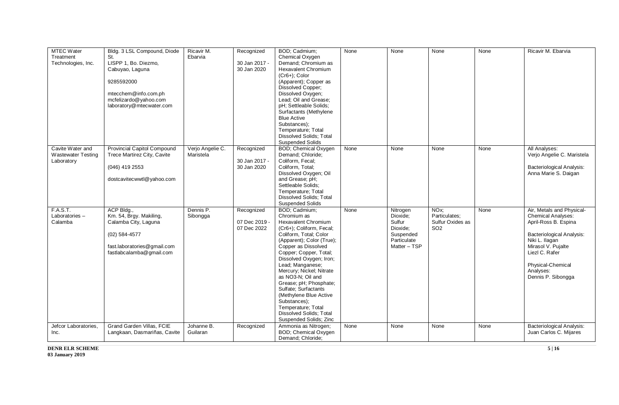| <b>MTEC Water</b>         | Bldg. 3 LSL Compound, Diode        | Ricavir M.       | Recognized    | BOD; Cadmium;                                      | None | None         | None             | None | Ricavir M. Ebarvia               |
|---------------------------|------------------------------------|------------------|---------------|----------------------------------------------------|------|--------------|------------------|------|----------------------------------|
| Treatment                 | St.                                | Ebarvia          |               | Chemical Oxygen                                    |      |              |                  |      |                                  |
| Technologies, Inc.        | LISPP 1, Bo. Diezmo,               |                  | 30 Jan 2017 - | Demand; Chromium as                                |      |              |                  |      |                                  |
|                           | Cabuyao, Laguna                    |                  | 30 Jan 2020   | <b>Hexavalent Chromium</b>                         |      |              |                  |      |                                  |
|                           |                                    |                  |               | $(Cr6+)$ ; Color                                   |      |              |                  |      |                                  |
|                           | 9285592000                         |                  |               | (Apparent); Copper as                              |      |              |                  |      |                                  |
|                           |                                    |                  |               | Dissolved Copper;                                  |      |              |                  |      |                                  |
|                           | mtecchem@info.com.ph               |                  |               | Dissolved Oxygen;                                  |      |              |                  |      |                                  |
|                           | mcfelizardo@yahoo.com              |                  |               | Lead; Oil and Grease;<br>pH; Settleable Solids;    |      |              |                  |      |                                  |
|                           | laboratory@mtecwater.com           |                  |               | Surfactants (Methylene                             |      |              |                  |      |                                  |
|                           |                                    |                  |               | <b>Blue Active</b>                                 |      |              |                  |      |                                  |
|                           |                                    |                  |               | Substances);                                       |      |              |                  |      |                                  |
|                           |                                    |                  |               | Temperature; Total                                 |      |              |                  |      |                                  |
|                           |                                    |                  |               | <b>Dissolved Solids: Total</b>                     |      |              |                  |      |                                  |
|                           |                                    |                  |               | <b>Suspended Solids</b>                            |      |              |                  |      |                                  |
| Cavite Water and          | <b>Provincial Capitol Compound</b> | Verjo Angelie C. | Recognized    | BOD; Chemical Oxygen                               | None | None         | None             | None | All Analyses:                    |
| <b>Wastewater Testing</b> | Trece Martirez City, Cavite        | Maristela        |               | Demand; Chloride;                                  |      |              |                  |      | Verjo Angelie C. Maristela       |
| Laboratory                |                                    |                  | 30 Jan 2017 - | Coliform, Fecal;                                   |      |              |                  |      |                                  |
|                           | (046) 419 2553                     |                  | 30 Jan 2020   | Coliform, Total;                                   |      |              |                  |      | <b>Bacteriological Analysis:</b> |
|                           |                                    |                  |               | Dissolved Oxygen; Oil                              |      |              |                  |      | Anna Marie S. Daigan             |
|                           | dostcavitecwwtl@yahoo.com          |                  |               | and Grease; pH;                                    |      |              |                  |      |                                  |
|                           |                                    |                  |               | Settleable Solids;                                 |      |              |                  |      |                                  |
|                           |                                    |                  |               | Temperature; Total                                 |      |              |                  |      |                                  |
|                           |                                    |                  |               | Dissolved Solids; Total<br><b>Suspended Solids</b> |      |              |                  |      |                                  |
| <b>F.A.S.T.</b>           | ACP Bldg.,                         | Dennis P.        | Recognized    | BOD; Cadmium;                                      | None | Nitrogen     | NO <sub>x</sub>  | None | Air, Metals and Physical-        |
| Laboratories-             | Km. 54, Brgy. Makiling,            | Sibongga         |               | Chromium as                                        |      | Dioxide:     | Particulates:    |      | <b>Chemical Analyses:</b>        |
| Calamba                   | Calamba City, Laguna               |                  | 07 Dec 2019 - | <b>Hexavalent Chromium</b>                         |      | Sulfur       | Sulfur Oxides as |      | April-Ross B. Espina             |
|                           |                                    |                  | 07 Dec 2022   | (Cr6+); Coliform, Fecal;                           |      | Dioxide:     | SO <sub>2</sub>  |      |                                  |
|                           | $(02)$ 584-4577                    |                  |               | Coliform, Total; Color                             |      | Suspended    |                  |      | <b>Bacteriological Analysis:</b> |
|                           |                                    |                  |               | (Apparent); Color (True);                          |      | Particulate  |                  |      | Niki L. Ilagan                   |
|                           | fast.laboratories@gmail.com        |                  |               | Copper as Dissolved                                |      | Matter - TSP |                  |      | Mirasol V. Pujalte               |
|                           | fastlabcalamba@gmail.com           |                  |               | Copper; Copper, Total;                             |      |              |                  |      | Liezl C. Rafer                   |
|                           |                                    |                  |               | Dissolved Oxygen; Iron;                            |      |              |                  |      |                                  |
|                           |                                    |                  |               | Lead; Manganese;                                   |      |              |                  |      | Physical-Chemical                |
|                           |                                    |                  |               | Mercury; Nickel; Nitrate                           |      |              |                  |      | Analyses:                        |
|                           |                                    |                  |               | as NO3-N; Oil and                                  |      |              |                  |      | Dennis P. Sibongga               |
|                           |                                    |                  |               | Grease; pH; Phosphate;                             |      |              |                  |      |                                  |
|                           |                                    |                  |               | Sulfate; Surfactants                               |      |              |                  |      |                                  |
|                           |                                    |                  |               | (Methylene Blue Active<br>Substances);             |      |              |                  |      |                                  |
|                           |                                    |                  |               | Temperature; Total                                 |      |              |                  |      |                                  |
|                           |                                    |                  |               | <b>Dissolved Solids: Total</b>                     |      |              |                  |      |                                  |
|                           |                                    |                  |               | Suspended Solids; Zinc                             |      |              |                  |      |                                  |
| Jefcor Laboratories,      | Grand Garden Villas, FCIE          | Johanne B.       | Recognized    | Ammonia as Nitrogen;                               | None | None         | None             | None | <b>Bacteriological Analysis:</b> |
| Inc.                      | Langkaan, Dasmariñas, Cavite       | Guilaran         |               | BOD; Chemical Oxygen                               |      |              |                  |      | Juan Carlos C. Mijares           |
|                           |                                    |                  |               | Demand; Chloride;                                  |      |              |                  |      |                                  |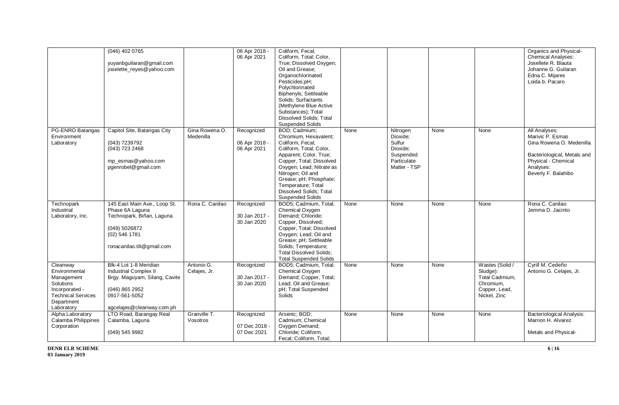|                                                                                                                                 | (046) 402 0765<br>yuyanbguilaran@gmail.com<br>joselette_reyes@yahoo.com                                                                                 |                             | 06 Apr 2018 -<br>06 Apr 2021               | Coliform, Fecal;<br>Coliform, Total; Color,<br>True; Dissolved Oxygen;<br>Oil and Grease;<br>Organochlorinated<br>Pesticides;pH;<br>Polychlorinated<br>Biphenyls; Settleable<br>Solids: Surfactants<br>(Methylene Blue Active<br>Substances); Total<br><b>Dissolved Solids: Total</b><br><b>Suspended Solids</b> |      |                                                                                        |      |                                                                                             | Organics and Physical-<br>Chemical Analyses:<br>Josellete R. Blauta<br>Johanne G. Guilaran<br>Edna C. Mijares<br>Loida b. Pacaro                        |
|---------------------------------------------------------------------------------------------------------------------------------|---------------------------------------------------------------------------------------------------------------------------------------------------------|-----------------------------|--------------------------------------------|------------------------------------------------------------------------------------------------------------------------------------------------------------------------------------------------------------------------------------------------------------------------------------------------------------------|------|----------------------------------------------------------------------------------------|------|---------------------------------------------------------------------------------------------|---------------------------------------------------------------------------------------------------------------------------------------------------------|
| PG-ENRO Batangas<br>Environment<br>Laboratory                                                                                   | Capitol Site, Batangas City<br>(043) 7239792<br>(043) 723 2468<br>mp_esmas@yahoo.com<br>pgenrobel@gmail.com                                             | Gina Rowena O.<br>Medenilla | Recognized<br>06 Apr 2018 -<br>06 Apr 2021 | BOD; Cadmium;<br>Chromium, Hexavalent;<br>Coliform. Fecal:<br>Coliform, Total; Color,<br>Apparent; Color, True;<br>Copper, Total; Dissolved<br>Oxygen; Lead; Nitrate as<br>Nitrogen; Oil and<br>Grease; pH; Phosphate;<br>Temperature; Total<br><b>Dissolved Solids; Total</b><br><b>Suspended Solids</b>        | None | Nitrogen<br>Dioxide;<br>Sulfur<br>Dioxide;<br>Suspended<br>Particulate<br>Matter - TSP | None | None                                                                                        | All Analyses:<br>Marivic P. Esmas<br>Gina Rowena O. Medenilla<br>Bacteriological, Metals and<br>Physical - Chemical<br>Analyses:<br>Beverly F. Balahibo |
| Technopark<br>Industrial<br>Laboratory, Inc.                                                                                    | 145 East Main Ave., Loop St.<br>Phase 6A Laguna<br>Technopark, Biñan, Laguna<br>(049) 5026872<br>(02) 546 1781<br>ronacanilao.tili@gmail.com            | Rona C. Canilao             | Recognized<br>30 Jan 2017 -<br>30 Jan 2020 | BOD5; Cadmium, Total;<br>Chemical Oxygen<br>Demand; Chloride;<br>Copper, Dissolved;<br>Copper, Total; Dissolved<br>Oxygen; Lead; Oil and<br>Grease; pH; Settleable<br>Solids; Temperature;<br><b>Total Dissolved Solids:</b><br><b>Total Suspended Solids</b>                                                    | None | None                                                                                   | None | None                                                                                        | Rona C. Canilao<br>Jemma D. Jacinto                                                                                                                     |
| Cleanway<br>Environmental<br>Management<br>Solutions<br>Incorporated -<br><b>Technical Services</b><br>Department<br>Laboratory | Blk-4 Lot 1-8 Meridian<br><b>Industrial Complex II</b><br>Brgy. Maguyam, Silang, Cavite<br>(046) 865 2952<br>0917-561-5052<br>agcelajes@cleanway.com.ph | Antonio G.<br>Celajes, Jr.  | Recognized<br>30 Jan 2017 -<br>30 Jan 2020 | BOD5; Cadmium, Total;<br>Chemical Oxygen<br>Demand; Copper, Total;<br>Lead; Oil and Grease;<br>pH; Total Suspended<br>Solids                                                                                                                                                                                     | None | None                                                                                   | None | Wastes (Solid /<br>Sludge):<br>Total Cadmium,<br>Chromium,<br>Copper, Lead,<br>Nickel, Zinc | Cyrill M. Cedeño<br>Antonio G. Celajes, Jr.                                                                                                             |
| Alpha Laboratory<br>Calamba Philippines<br>Corporation                                                                          | LTO Road, Barangay Real<br>Calamba, Laguna<br>(049) 545 9982                                                                                            | Granville T.<br>Vosotros    | Recognized<br>07 Dec 2018 ·<br>07 Dec 2021 | Arsenic; BOD;<br>Cadmium; Chemical<br>Oxygen Demand;<br>Chloride; Coliform,<br>Fecal; Coliform, Total;                                                                                                                                                                                                           | None | None                                                                                   | None | None                                                                                        | <b>Bacteriological Analysis:</b><br>Marrion H. Alvarez<br>Metals and Physical-                                                                          |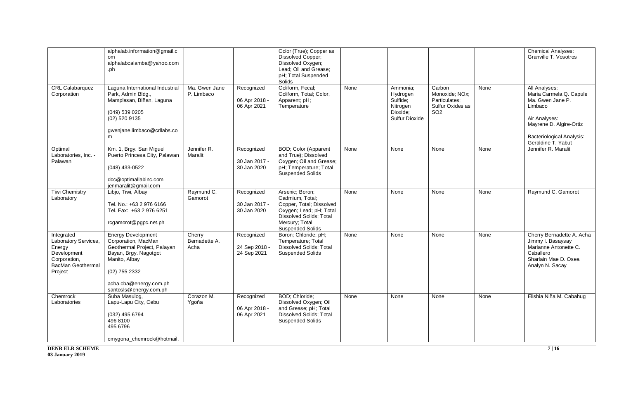|                                                                                                                    | alphalab.information@gmail.c<br>om<br>alphalabcalamba@yahoo.com<br>.ph                                                                                                                         |                                 |                                            | Color (True); Copper as<br>Dissolved Copper;<br>Dissolved Oxygen;<br>Lead; Oil and Grease;<br>pH; Total Suspended<br>Solids                                       |      |                                                                            |                                                                                  |      | <b>Chemical Analyses:</b><br>Granville T. Vosotros                                                                                                                            |
|--------------------------------------------------------------------------------------------------------------------|------------------------------------------------------------------------------------------------------------------------------------------------------------------------------------------------|---------------------------------|--------------------------------------------|-------------------------------------------------------------------------------------------------------------------------------------------------------------------|------|----------------------------------------------------------------------------|----------------------------------------------------------------------------------|------|-------------------------------------------------------------------------------------------------------------------------------------------------------------------------------|
| <b>CRL Calabarquez</b><br>Corporation                                                                              | Laguna International Industrial<br>Park, Admin Bldg.,<br>Mamplasan, Biñan, Laguna<br>(049) 539 0205<br>$(02)$ 520 9135<br>gwenjane.limbaco@crllabs.co<br>m                                     | Ma. Gwen Jane<br>P. Limbaco     | Recognized<br>06 Apr 2018 -<br>06 Apr 2021 | Coliform, Fecal;<br>Coliform, Total; Color,<br>Apparent; pH;<br>Temperature                                                                                       | None | Ammonia:<br>Hydrogen<br>Sulfide:<br>Nitrogen<br>Dioxide:<br>Sulfur Dioxide | Carbon<br>Monoxide; NOx;<br>Particulates:<br>Sulfur Oxides as<br>SO <sub>2</sub> | None | All Analyses:<br>Maria Carmela Q. Capule<br>Ma. Gwen Jane P.<br>Limbaco<br>Air Analyses:<br>Mayrene D. Algire-Ortiz<br><b>Bacteriological Analysis:</b><br>Geraldine T. Yabut |
| Optimal<br>Laboratories, Inc. -<br>Palawan                                                                         | Km. 1, Brgy. San Miguel<br>Puerto Princesa City, Palawan<br>(048) 433-0522<br>dcc@optimallabinc.com<br>jenmaralit@gmail.com                                                                    | Jennifer R.<br>Maralit          | Recognized<br>30 Jan 2017 -<br>30 Jan 2020 | <b>BOD; Color (Apparent</b><br>and True); Dissolved<br>Oxygen; Oil and Grease;<br>pH; Temperature; Total<br><b>Suspended Solids</b>                               | None | None                                                                       | None                                                                             | None | Jennifer R. Maralit                                                                                                                                                           |
| <b>Tiwi Chemistry</b><br>Laboratory                                                                                | Libjo, Tiwi, Albay<br>Tel. No.: +63 2 976 6166<br>Tel. Fax: +63 2 976 6251<br>rcgamorot@pgpc.net.ph                                                                                            | Raymund C.<br>Gamorot           | Recognized<br>30 Jan 2017 -<br>30 Jan 2020 | Arsenic; Boron;<br>Cadmium, Total;<br>Copper, Total; Dissolved<br>Oxygen; Lead; pH; Total<br>Dissolved Solids; Total<br>Mercury; Total<br><b>Suspended Solids</b> | None | None                                                                       | None                                                                             | None | Raymund C. Gamorot                                                                                                                                                            |
| Integrated<br>Laboratory Services,<br>Energy<br>Development<br>Corporation,<br><b>BacMan Geothermal</b><br>Project | <b>Energy Development</b><br>Corporation, MacMan<br>Geothermal Project, Palayan<br>Bayan, Brgy. Nagotgot<br>Manito, Albay<br>(02) 755 2332<br>acha.cba@energy.com.ph<br>santosIs@energy.com.ph | Cherry<br>Bernadette A.<br>Acha | Recognized<br>24 Sep 2018 -<br>24 Sep 2021 | Boron; Chloride; pH;<br>Temperature; Total<br>Dissolved Solids; Total<br><b>Suspended Solids</b>                                                                  | None | None                                                                       | None                                                                             | None | Cherry Bernadette A. Acha<br>Jimmy I. Basaysay<br>Marianne Antonette C.<br>Caballero<br>Sharlain Mae D. Osea<br>Analyn N. Sacay                                               |
| Chemrock<br>Laboratories                                                                                           | Suba Masulog,<br>Lapu-Lapu City, Cebu<br>(032) 495 6794<br>496 8100<br>495 6796<br>cmygona_chemrock@hotmail.                                                                                   | Corazon M.<br>Ygoňa             | Recognized<br>06 Apr 2018 -<br>06 Apr 2021 | BOD; Chloride;<br>Dissolved Oxygen; Oil<br>and Grease; pH; Total<br><b>Dissolved Solids; Total</b><br><b>Suspended Solids</b>                                     | None | None                                                                       | None                                                                             | None | Elishia Niña M. Cabahug                                                                                                                                                       |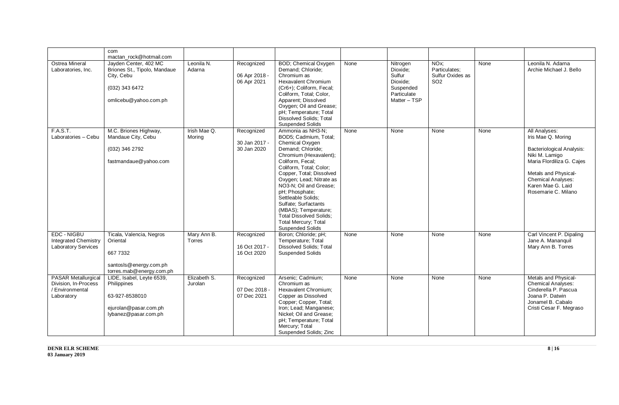|                                                                                     | com                                                                                                            |                         |                                            |                                                                                                                                                                                                                                                                                                                                                                                                                            |      |                                                                                        |                                                                           |      |                                                                                                                                                                                                                  |
|-------------------------------------------------------------------------------------|----------------------------------------------------------------------------------------------------------------|-------------------------|--------------------------------------------|----------------------------------------------------------------------------------------------------------------------------------------------------------------------------------------------------------------------------------------------------------------------------------------------------------------------------------------------------------------------------------------------------------------------------|------|----------------------------------------------------------------------------------------|---------------------------------------------------------------------------|------|------------------------------------------------------------------------------------------------------------------------------------------------------------------------------------------------------------------|
|                                                                                     | mactan rock@hotmail.com                                                                                        |                         |                                            |                                                                                                                                                                                                                                                                                                                                                                                                                            |      |                                                                                        |                                                                           |      |                                                                                                                                                                                                                  |
| Ostrea Mineral<br>Laboratories, Inc.                                                | Javden Center, 402 MC<br>Briones St., Tipolo, Mandaue<br>City, Cebu<br>(032) 343 6472<br>omlicebu@yahoo.com.ph | Leonila N.<br>Adarna    | Recognized<br>06 Apr 2018 -<br>06 Apr 2021 | BOD; Chemical Oxygen<br>Demand; Chloride;<br>Chromium as<br><b>Hexavalent Chromium</b><br>(Cr6+); Coliform, Fecal;<br>Coliform, Total; Color,<br>Apparent; Dissolved<br>Oxygen; Oil and Grease;<br>pH; Temperature; Total<br><b>Dissolved Solids: Total</b><br><b>Suspended Solids</b>                                                                                                                                     | None | Nitrogen<br>Dioxide:<br>Sulfur<br>Dioxide:<br>Suspended<br>Particulate<br>Matter - TSP | NO <sub>x</sub> :<br>Particulates;<br>Sulfur Oxides as<br>SO <sub>2</sub> | None | Leonila N. Adarna<br>Archie Michael J. Bello                                                                                                                                                                     |
| F.A.S.T.<br>Laboratories - Cebu                                                     | M.C. Briones Highway,<br>Mandaue City, Cebu<br>(032) 346 2792<br>fastmandaue@yahoo.com                         | Irish Mae Q.<br>Moring  | Recognized<br>30 Jan 2017 -<br>30 Jan 2020 | Ammonia as NH3-N:<br>BOD5; Cadmium, Total;<br>Chemical Oxygen<br>Demand; Chloride;<br>Chromium (Hexavalent);<br>Coliform, Fecal;<br>Coliform, Total; Color;<br>Copper, Total; Dissolved<br>Oxygen; Lead; Nitrate as<br>NO3-N; Oil and Grease;<br>pH; Phosphate;<br>Settleable Solids;<br>Sulfate; Surfactants<br>(MBAS); Temperature;<br><b>Total Dissolved Solids:</b><br>Total Mercury; Total<br><b>Suspended Solids</b> | None | None                                                                                   | None                                                                      | None | All Analyses:<br>Iris Mae Q. Moring<br><b>Bacteriological Analysis:</b><br>Niki M. Lamigo<br>Maria Flordiliza G. Cajes<br>Metals and Physical-<br>Chemical Analyses:<br>Karen Mae G. Laid<br>Rosemarie C. Milano |
| <b>EDC - NIGBU</b><br><b>Integrated Chemistry</b><br>Laboratory Services            | Ticala, Valencia, Negros<br>Oriental<br>6677332<br>santosIs@energy.com.ph<br>torres.mab@energy.com.ph          | Mary Ann B.<br>Torres   | Recognized<br>16 Oct 2017 -<br>16 Oct 2020 | Boron; Chloride; pH;<br>Temperature: Total<br><b>Dissolved Solids; Total</b><br><b>Suspended Solids</b>                                                                                                                                                                                                                                                                                                                    | None | None                                                                                   | None                                                                      | None | Carl Vincent P. Dipaling<br>Jane A. Mananquil<br>Mary Ann B. Torres                                                                                                                                              |
| <b>PASAR Metallurgical</b><br>Division, In-Process<br>/ Environmental<br>Laboratory | LIDE, Isabel, Leyte 6539,<br>Philippines<br>63-927-8538010<br>ejurolan@pasar.com.ph<br>lybanez@pasar.com.ph    | Elizabeth S.<br>Jurolan | Recognized<br>07 Dec 2018 -<br>07 Dec 2021 | Arsenic; Cadmium;<br>Chromium as<br>Hexavalent Chromium;<br>Copper as Dissolved<br>Copper; Copper, Total;<br>Iron; Lead; Manganese;<br>Nickel; Oil and Grease;<br>pH; Temperature; Total<br>Mercury; Total<br>Suspended Solids; Zinc                                                                                                                                                                                       | None | None                                                                                   | None                                                                      | None | Metals and Physical-<br><b>Chemical Analyses:</b><br>Cinderella P. Pascua<br>Joana P. Datwin<br>Jonamel B. Cabalo<br>Cristi Cesar F. Megraso                                                                     |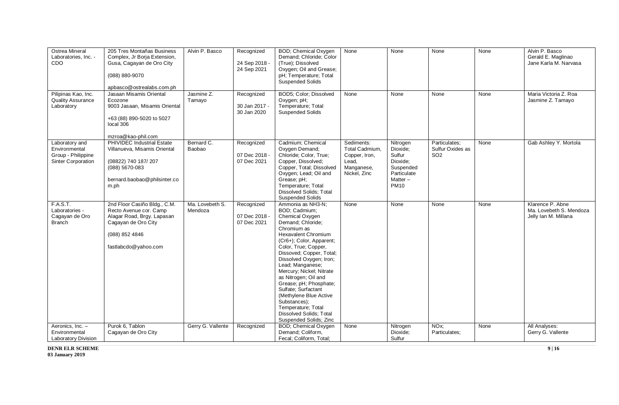| <b>Ostrea Mineral</b><br>Laboratories. Inc. -<br>CDO                        | 205 Tres Montañas Business<br>Complex, Jr Borja Extension,<br>Gusa, Cagayan de Oro City<br>(088) 880-9070<br>apbasco@ostrealabs.com.ph                | Alvin P. Basco             | Recognized<br>24 Sep 2018 -<br>24 Sep 2021 | BOD; Chemical Oxygen<br>Demand; Chloride; Color<br>(True); Dissolved<br>Oxygen; Oil and Grease;<br>pH; Temperature; Total<br>Suspended Solids                                                                                                                                                                                                                                                                                                                                           | None                                                                                 | None                                                                                             | None                                                 | None | Alvin P. Basco<br>Gerald E. Maglinao<br>Jane Karla M. Narvasa       |
|-----------------------------------------------------------------------------|-------------------------------------------------------------------------------------------------------------------------------------------------------|----------------------------|--------------------------------------------|-----------------------------------------------------------------------------------------------------------------------------------------------------------------------------------------------------------------------------------------------------------------------------------------------------------------------------------------------------------------------------------------------------------------------------------------------------------------------------------------|--------------------------------------------------------------------------------------|--------------------------------------------------------------------------------------------------|------------------------------------------------------|------|---------------------------------------------------------------------|
| Pilipinas Kao, Inc.<br><b>Quality Assurance</b><br>Laboratory               | Jasaan Misamis Oriental<br>Ecozone<br>9003 Jasaan, Misamis Oriental<br>+63 (88) 890-5020 to 5027<br>local 306<br>mzroa@kao-phil.com                   | Jasmine Z.<br>Tamayo       | Recognized<br>30 Jan 2017 -<br>30 Jan 2020 | BOD5: Color: Dissolved<br>Oxygen; pH;<br>Temperature; Total<br><b>Suspended Solids</b>                                                                                                                                                                                                                                                                                                                                                                                                  | None                                                                                 | None                                                                                             | None                                                 | None | Maria Victoria Z. Roa<br>Jasmine Z. Tamayo                          |
| Laboratory and<br>Environmental<br>Group - Philippine<br>Sinter Corporation | PHIVIDEC Industrial Estate<br>Villanueva, Misamis Oriental<br>(08822) 740 187/207<br>(088) 5670-083<br>bernard.baobao@philsinter.co<br>m.ph           | Bernard C.<br>Baobao       | Recognized<br>07 Dec 2018 -<br>07 Dec 2021 | Cadmium: Chemical<br>Oxygen Demand;<br>Chloride; Color, True;<br>Copper, Dissolved;<br>Copper, Total; Dissolved<br>Oxygen; Lead; Oil and<br>Grease; pH;<br>Temperature; Total<br><b>Dissolved Solids; Total</b><br><b>Suspended Solids</b>                                                                                                                                                                                                                                              | Sediments:<br>Total Cadmium,<br>Copper, Iron,<br>Lead,<br>Manganese,<br>Nickel, Zinc | Nitrogen<br>Dioxide;<br>Sulfur<br>Dioxide;<br>Suspended<br>Particulate<br>Matter-<br><b>PM10</b> | Particulates;<br>Sulfur Oxides as<br>SO <sub>2</sub> | None | Gab Ashley Y. Mortola                                               |
| <b>F.A.S.T.</b><br>Laboratories -<br>Cagayan de Oro<br><b>Branch</b>        | 2nd Floor Casiño Bldg., C.M.<br>Recto Avenue cor. Camp<br>Alagar Road, Brgy. Lapasan<br>Cagayan de Oro City<br>(088) 852 4846<br>fastlabcdo@yahoo.com | Ma. Lovebeth S.<br>Mendoza | Recognized<br>07 Dec 2018 -<br>07 Dec 2021 | Ammonia as NH3-N;<br>BOD; Cadmium;<br>Chemical Oxygen<br>Demand; Chloride;<br>Chromium as<br><b>Hexavalent Chromium</b><br>(Cr6+); Color, Apparent;<br>Color, True; Copper,<br>Dissoved; Copper, Total;<br>Dissolved Oxygen; Iron;<br>Lead; Manganese;<br>Mercury; Nickel; Nitrate<br>as Nitrogen; Oil and<br>Grease; pH; Phosphate;<br>Sulfate; Surfactant<br>(Methylene Blue Active<br>Substances);<br>Temperature; Total<br><b>Dissolved Solids: Total</b><br>Suspended Solids; Zinc | None                                                                                 | None                                                                                             | None                                                 | None | Klarence P. Abne<br>Ma. Lovebeth S. Mendoza<br>Jelly Ian M. Millana |
| Aeronics, Inc. -<br>Environmental<br><b>Laboratory Division</b>             | Purok 6, Tablon<br>Cagayan de Oro City                                                                                                                | Gerry G. Vallente          | Recognized                                 | BOD; Chemical Oxygen<br>Demand; Coliform,<br>Fecal; Coliform, Total;                                                                                                                                                                                                                                                                                                                                                                                                                    | None                                                                                 | Nitrogen<br>Dioxide;<br>Sulfur                                                                   | NO <sub>x</sub> ;<br>Particulates:                   | None | All Analyses:<br>Gerry G. Vallente                                  |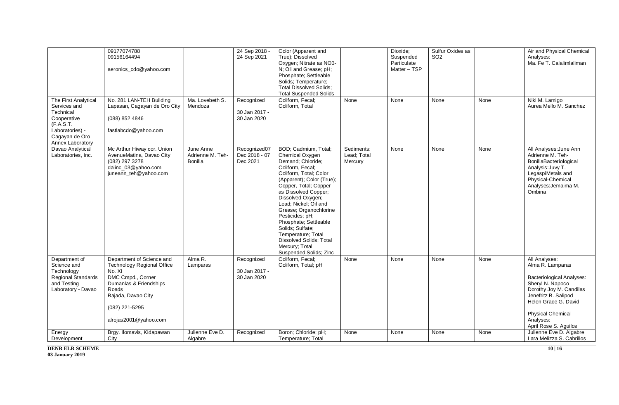|                                                                                                                                        | 09177074788<br>09156164494<br>aeronics_cdo@yahoo.com                                                                                                                                              |                                                 | 24 Sep 2018 -<br>24 Sep 2021               | Color (Apparent and<br>True); Dissolved<br>Oxygen; Nitrate as NO3-<br>N; Oil and Grease; pH;<br>Phosphate; Settleable<br>Solids; Temperature;<br><b>Total Dissolved Solids:</b><br><b>Total Suspended Solids</b>                                                                                                                                                                                                              |                                      | Dioxide;<br>Suspended<br>Particulate<br>Matter - TSP | Sulfur Oxides as<br>SO <sub>2</sub> |      | Air and Physical Chemical<br>Analyses:<br>Ma. Fe T. Calalimlaliman                                                                                                                                                                     |
|----------------------------------------------------------------------------------------------------------------------------------------|---------------------------------------------------------------------------------------------------------------------------------------------------------------------------------------------------|-------------------------------------------------|--------------------------------------------|-------------------------------------------------------------------------------------------------------------------------------------------------------------------------------------------------------------------------------------------------------------------------------------------------------------------------------------------------------------------------------------------------------------------------------|--------------------------------------|------------------------------------------------------|-------------------------------------|------|----------------------------------------------------------------------------------------------------------------------------------------------------------------------------------------------------------------------------------------|
| The First Analytical<br>Services and<br>Technical<br>Cooperative<br>(F.A.S.T.<br>Laboratories) -<br>Cagayan de Oro<br>Annex Laboratory | No. 281 LAN-TEH Building<br>Lapasan, Cagayan de Oro City<br>(088) 852 4846<br>fastlabcdo@yahoo.com                                                                                                | Ma. Lovebeth S.<br>Mendoza                      | Recognized<br>30 Jan 2017 -<br>30 Jan 2020 | Coliform, Fecal;<br>Coliform, Total                                                                                                                                                                                                                                                                                                                                                                                           | None                                 | None                                                 | None                                | None | Niki M. Lamigo<br>Aurea Mello M. Sanchez                                                                                                                                                                                               |
| Davao Analytical<br>Laboratories, Inc.                                                                                                 | Mc Arthur Hiway cor. Union<br>AvenueMatina, Davao City<br>(082) 297 3278<br>dalinc_03@yahoo.com<br>juneann_teh@yahoo.com                                                                          | June Anne<br>Adrienne M. Teh-<br><b>Bonilla</b> | Recognized07<br>Dec 2018 - 07<br>Dec 2021  | BOD; Cadmium, Total;<br>Chemical Oxygen<br>Demand; Chloride;<br>Coliform. Fecal:<br>Coliform, Total; Color<br>(Apparent); Color (True);<br>Copper, Total; Copper<br>as Dissolved Copper:<br>Dissolved Oxygen;<br>Lead; Nickel; Oil and<br>Grease; Organochlorine<br>Pesticides; pH;<br>Phosphate; Settleable<br>Solids; Sulfate;<br>Temperature; Total<br>Dissolved Solids; Total<br>Mercury; Total<br>Suspended Solids; Zinc | Sediments:<br>Lead; Total<br>Mercury | None                                                 | None                                | None | All Analyses: June Ann<br>Adrienne M. Teh-<br>BonillaBacteriological<br>Analysis: Juvy T.<br>LegaspiMetals and<br>Physical-Chemical<br>Analyses: Jemaima M.<br>Ombina                                                                  |
| Department of<br>Science and<br>Technology<br><b>Regional Standards</b><br>and Testing<br>Laboratory - Davao                           | Department of Science and<br><b>Technology Regional Office</b><br>No. XI<br>DMC Cmpd., Corner<br>Dumanlas & Friendships<br>Roads<br>Bajada, Davao City<br>(082) 221-5295<br>alrojas2001@yahoo.com | Alma R.<br>Lamparas                             | Recognized<br>30 Jan 2017 -<br>30 Jan 2020 | Coliform, Fecal;<br>Coliform, Total; pH                                                                                                                                                                                                                                                                                                                                                                                       | None                                 | None                                                 | None                                | None | All Analyses:<br>Alma R. Lamparas<br><b>Bacteriological Analyses:</b><br>Sheryl N. Napoco<br>Dorothy Joy M. Candilas<br>Jenefritz B. Salipod<br>Helen Grace G. David<br><b>Physical Chemical</b><br>Analyses:<br>April Rose S. Aguilos |
| Energy<br>Development                                                                                                                  | Brgy. Ilomavis, Kidapawan<br>City                                                                                                                                                                 | Julienne Eve D.<br>Algabre                      | Recognized                                 | Boron; Chloride; pH;<br>Temperature; Total                                                                                                                                                                                                                                                                                                                                                                                    | None                                 | None                                                 | None                                | None | Julienne Eve D. Algabre<br>Lara Melizza S. Cabrillos                                                                                                                                                                                   |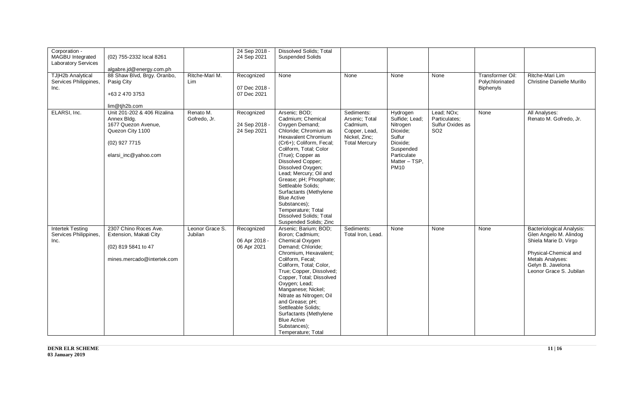| Corporation -<br>MAGBU Integrated<br><b>Laboratory Services</b><br>TJ H2b Analytical<br>Services Philippines,<br>Inc. | (02) 755-2332 local 8261<br>algabre.jd@energy.com.ph<br>88 Shaw Blvd, Brgy. Oranbo,<br>Pasig City<br>+63 2 470 3753                             | Ritche-Mari M.<br>Lim      | 24 Sep 2018 -<br>24 Sep 2021<br>Recognized<br>07 Dec 2018 -<br>07 Dec 2021 | <b>Dissolved Solids; Total</b><br><b>Suspended Solids</b><br>None                                                                                                                                                                                                                                                                                                                                                                                            | None                                                                                               | None                                                                                                                                 | None                                                               | Transformer Oil:<br>Polychlorinated<br><b>Biphenyls</b> | Ritche-Mari Lim<br><b>Christine Danielle Murillo</b>                                                                                                                             |
|-----------------------------------------------------------------------------------------------------------------------|-------------------------------------------------------------------------------------------------------------------------------------------------|----------------------------|----------------------------------------------------------------------------|--------------------------------------------------------------------------------------------------------------------------------------------------------------------------------------------------------------------------------------------------------------------------------------------------------------------------------------------------------------------------------------------------------------------------------------------------------------|----------------------------------------------------------------------------------------------------|--------------------------------------------------------------------------------------------------------------------------------------|--------------------------------------------------------------------|---------------------------------------------------------|----------------------------------------------------------------------------------------------------------------------------------------------------------------------------------|
| ELARSI, Inc.                                                                                                          | lim@tjh2b.com<br>Unit 201-202 & 406 Rizalina<br>Annex Bldg.<br>1677 Quezon Avenue,<br>Quezon City 1100<br>(02) 927 7715<br>elarsi_inc@yahoo.com | Renato M.<br>Gofredo, Jr.  | Recognized<br>24 Sep 2018 -<br>24 Sep 2021                                 | Arsenic; BOD;<br>Cadmium; Chemical<br>Oxygen Demand;<br>Chloride; Chromium as<br><b>Hexavalent Chromium</b><br>(Cr6+); Coliform, Fecal;<br>Coliform, Total; Color<br>(True); Copper as<br>Dissolved Copper;<br>Dissolved Oxygen;<br>Lead; Mercury; Oil and<br>Grease; pH; Phosphate;<br>Settleable Solids;<br>Surfactants (Methylene<br><b>Blue Active</b><br>Substances);<br>Temperature; Total<br><b>Dissolved Solids: Total</b><br>Suspended Solids; Zinc | Sediments:<br>Arsenic: Total<br>Cadmium,<br>Copper, Lead,<br>Nickel, Zinc;<br><b>Total Mercury</b> | Hydrogen<br>Sulfide: Lead:<br>Nitrogen<br>Dioxide;<br>Sulfur<br>Dioxide;<br>Suspended<br>Particulate<br>Matter - TSP.<br><b>PM10</b> | Lead; NOx;<br>Particulates:<br>Sulfur Oxides as<br>SO <sub>2</sub> | None                                                    | All Analyses:<br>Renato M. Gofredo, Jr.                                                                                                                                          |
| <b>Intertek Testing</b><br>Services Philippines,<br>Inc.                                                              | 2307 Chino Roces Ave.<br>Extension, Makati City<br>(02) 819 5841 to 47<br>mines.mercado@intertek.com                                            | Leonor Grace S.<br>Jubilan | Recognized<br>06 Apr 2018 -<br>06 Apr 2021                                 | Arsenic; Barium; BOD;<br>Boron; Cadmium;<br>Chemical Oxygen<br>Demand; Chloride;<br>Chromium, Hexavalent;<br>Coliform, Fecal;<br>Coliform, Total; Color,<br>True; Copper, Dissolved;<br>Copper, Total; Dissolved<br>Oxygen; Lead;<br>Manganese; Nickel;<br>Nitrate as Nitrogen; Oil<br>and Grease; pH;<br>Settlleable Solids;<br>Surfactants (Methylene<br><b>Blue Active</b><br>Substances);<br>Temperature; Total                                          | Sediments:<br>Total Iron, Lead.                                                                    | None                                                                                                                                 | None                                                               | None                                                    | <b>Bacteriological Analysis:</b><br>Glen Angelo M. Alindog<br>Shiela Marie D. Virgo<br>Physical-Chemical and<br>Metals Analyses:<br>Gelyn B. Javelona<br>Leonor Grace S. Jubilan |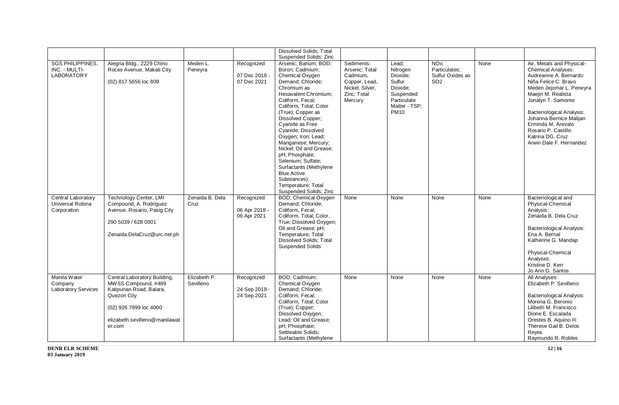|                                                              |                                                                                                                                                                    |                           |                                            | <b>Dissolved Solids; Total</b>                                                                                                                                                                                                                                                                                                                                                                                                                                                                                      |                                                                                                        |                                                                                                                 |                                                                           |      |                                                                                                                                                                                                                                                                                                                                     |
|--------------------------------------------------------------|--------------------------------------------------------------------------------------------------------------------------------------------------------------------|---------------------------|--------------------------------------------|---------------------------------------------------------------------------------------------------------------------------------------------------------------------------------------------------------------------------------------------------------------------------------------------------------------------------------------------------------------------------------------------------------------------------------------------------------------------------------------------------------------------|--------------------------------------------------------------------------------------------------------|-----------------------------------------------------------------------------------------------------------------|---------------------------------------------------------------------------|------|-------------------------------------------------------------------------------------------------------------------------------------------------------------------------------------------------------------------------------------------------------------------------------------------------------------------------------------|
| <b>SGS PHILIPPINES</b><br>INC. - MULTI-<br><b>LABORATORY</b> | Alegria Bldg., 2229 Chino<br>Roces Avenue, Makati City<br>(02) 817 5656 loc 809                                                                                    | Meden L.<br>Peneyra       | Recognized<br>07 Dec 2018 -<br>07 Dec 2021 | Suspended Solids; Zinc<br>Arsenic; Barium; BOD;<br>Boron; Cadmium;<br>Chemical Oxygen<br>Demand; Chloride;<br>Chromium as<br>Hexavalent Chromium;<br>Coliform, Fecal;<br>Coliform, Total; Color<br>(True); Copper as<br>Dissolved Copper;<br>Cyanide as Free<br>Cyanide; Dissolved<br>Oxygen; Iron; Lead;<br>Manganese; Mercury;<br>Nickel; Oil and Grease;<br>pH; Phosphate;<br>Selenium; Sulfate;<br>Surfactants (Methylene<br><b>Blue Active</b><br>Substances);<br>Temperature; Total<br>Suspended Solids; Zinc | Sediments:<br>Arsenic; Total<br>Cadmium,<br>Copper, Lead,<br>Nickel, Silver,<br>Zinc; Total<br>Mercury | Lead:<br>Nitrogen<br>Dioxide;<br>Sulfur<br>Dioxide:<br>Suspended<br>Particulate<br>Matter - TSP;<br><b>PM10</b> | NO <sub>x</sub> :<br>Particulates;<br>Sulfur Oxides as<br>SO <sub>2</sub> | None | Air, Metals and Physical-<br>Chemical Analyses:<br>Audreanne A. Bernardo<br>Niña Felice C. Bravo<br>Meden Jejomar L. Peneyra<br>Maejin M. Realista<br>Jonalyn T. Samonte<br><b>Bacteriological Analysis:</b><br>Johanna Bernice Malijan<br>Erminda M. Arevalo<br>Rosario P. Castillo<br>Katrina DG. Cruz<br>Arwin Dale F. Hernandez |
| Central Laboratory<br>Universal Robina<br>Corporation        | <b>Technology Center, LMI</b><br>Compound, A. Rodriguez<br>Avenue, Rosario, Pasig City<br>290 5039 / 628 0001<br>Zenaida.DelaCruz@urc.net.ph                       | Zenaida B. Dela<br>Cruz   | Recognized<br>06 Apr 2018 -<br>06 Apr 2021 | <b>BOD</b> ; Chemical Oxygen<br>Demand; Chloride;<br>Coliform, Fecal;<br>Coliform, Total; Color,<br>True; Dissolved Oxygen;<br>Oil and Grease; pH;<br>Temperature; Total<br><b>Dissolved Solids; Total</b><br><b>Suspended Solids</b>                                                                                                                                                                                                                                                                               | None                                                                                                   | None                                                                                                            | None                                                                      | None | Bacteriological and<br>Physical-Chemical<br>Analysis:<br>Zenaida B. Dela Cruz<br>Bacteriological Analysis:<br>Ena A. Bernal<br>Katherine G. Mandap<br>Physical-Chemical<br>Analyses:<br>Kristine D. Kerr<br>Jo Ann G. Santos                                                                                                        |
| Manila Water<br>Company<br><b>Laboratory Services</b>        | Central Laboratory Building,<br>MWSS Compound, #489<br>Katipunan Road, Balara,<br>Quezon City<br>(02) 926 7999 loc 4000<br>elizabeth.sevilleno@manilawat<br>er.com | Elizabeth P.<br>Sevilleno | Recognized<br>24 Sep 2018 -<br>24 Sep 2021 | BOD; Cadmium;<br>Chemical Oxygen<br>Demand; Chloride;<br>Coliform, Fecal;<br>Coliform, Total; Color<br>(True); Copper;<br>Dissolved Oxygen;<br>Lead; Oil and Grease;<br>pH; Phosphate;<br>Settleable Solids;<br>Surfactants (Methylene                                                                                                                                                                                                                                                                              | None                                                                                                   | None                                                                                                            | None                                                                      | None | All Analyses:<br>Elizabeth P. Sevilleno<br>Bacteriological Analysis:<br>Morena G. Beronio<br>Lilibeth M. Francisco<br>Dione E. Escalada<br>Orestes B. Aquino III<br>Therese Gail B. Delos<br>Reves<br>Raymundo R. Robles                                                                                                            |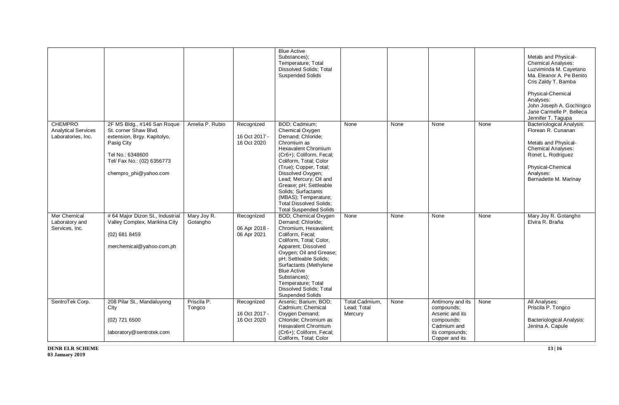|                                                                    |                                                                                                                                                                              |                         |                                            | <b>Blue Active</b>                                                                                                                                                                                                                                                                                                                                                            |                                          |      |                                                                                                                    |      |                                                                                                                                                                                              |
|--------------------------------------------------------------------|------------------------------------------------------------------------------------------------------------------------------------------------------------------------------|-------------------------|--------------------------------------------|-------------------------------------------------------------------------------------------------------------------------------------------------------------------------------------------------------------------------------------------------------------------------------------------------------------------------------------------------------------------------------|------------------------------------------|------|--------------------------------------------------------------------------------------------------------------------|------|----------------------------------------------------------------------------------------------------------------------------------------------------------------------------------------------|
|                                                                    |                                                                                                                                                                              |                         |                                            | Substances);<br>Temperature; Total<br><b>Dissolved Solids; Total</b><br><b>Suspended Solids</b>                                                                                                                                                                                                                                                                               |                                          |      |                                                                                                                    |      | Metals and Physical-<br><b>Chemical Analyses:</b><br>Luzviminda M. Cayetano<br>Ma. Eleanor A. Pe Benito<br>Cris Zaldy T. Bamba                                                               |
|                                                                    |                                                                                                                                                                              |                         |                                            |                                                                                                                                                                                                                                                                                                                                                                               |                                          |      |                                                                                                                    |      | Physical-Chemical<br>Analyses:<br>John Joseph A. Gochingco<br>Jane Carmelle P. Belleca<br>Jennifer T. Tagupa                                                                                 |
| <b>CHEMPRO</b><br><b>Analytical Services</b><br>Laboratories, Inc. | 2F MS Bldg., #146 San Roque<br>St. corner Shaw Blvd.<br>extension, Brgy. Kapitolyo,<br>Pasig City<br>Tel No.: 6348600<br>Tel/ Fax No.: (02) 6356773<br>chempro_phi@yahoo.com | Amelia P. Rubio         | Recognized<br>16 Oct 2017 -<br>16 Oct 2020 | BOD; Cadmium;<br>Chemical Oxygen<br>Demand; Chloride;<br>Chromium as<br><b>Hexavalent Chromium</b><br>(Cr6+); Coliform, Fecal;<br>Coliform, Total; Color<br>(True); Copper, Total;<br>Dissolved Oxygen;<br>Lead; Mercury; Oil and<br>Grease; pH; Settleable<br>Solids; Surfactants<br>(MBAS); Temperature;<br><b>Total Dissolved Solids:</b><br><b>Total Suspended Solids</b> | None                                     | None | None                                                                                                               | None | <b>Bacteriological Analysis:</b><br>Florean R. Cunanan<br>Metals and Physical-<br><b>Chemical Analyses:</b><br>Ronet L. Rodriguez<br>Physical-Chemical<br>Analyses:<br>Bernadette M. Marinay |
| Mer Chemical<br>Laboratory and<br>Services, Inc.                   | #64 Major Dizon St., Industrial<br>Valley Complex, Marikina City<br>(02) 681 8459<br>merchemical@yahoo.com.ph                                                                | Mary Joy R.<br>Gotangho | Recognized<br>06 Apr 2018 -<br>06 Apr 2021 | <b>BOD</b> ; Chemical Oxygen<br>Demand; Chloride;<br>Chromium, Hexavalent;<br>Coliform, Fecal;<br>Coliform, Total; Color,<br>Apparent; Dissolved<br>Oxygen; Oil and Grease;<br>pH; Settleable Solids;<br>Surfactants (Methylene<br><b>Blue Active</b><br>Substances);<br>Temperature; Total<br><b>Dissolved Solids; Total</b><br><b>Suspended Solids</b>                      | None                                     | None | None                                                                                                               | None | Mary Joy R. Gotangho<br>Elvira R. Braña                                                                                                                                                      |
| SentroTek Corp.                                                    | 208 Pilar St., Mandaluyong<br>City<br>(02) 721 6500<br>laboratory@sentrotek.com                                                                                              | Priscila P.<br>Tongco   | Recognized<br>16 Oct 2017 -<br>16 Oct 2020 | Arsenic; Barium; BOD;<br>Cadmium; Chemical<br>Oxygen Demand;<br>Chloride; Chromium as<br>Hexavalent Chromium<br>(Cr6+); Coliform, Fecal;<br>Coliform, Total; Color                                                                                                                                                                                                            | Total Cadmium,<br>Lead; Total<br>Mercury | None | Antimony and its<br>compounds;<br>Arsenic and its<br>compounds;<br>Cadmium and<br>its compounds;<br>Copper and its | None | All Analyses:<br>Priscila P. Tongco<br><b>Bacteriological Analysis:</b><br>Jenina A. Capule                                                                                                  |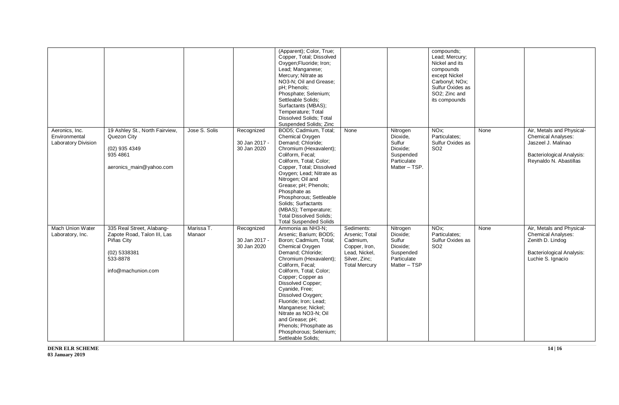|                                                        |                                                                                                                          |                      |                                            | (Apparent); Color, True;<br>Copper, Total; Dissolved<br>Oxygen;Fluoride; Iron;<br>Lead; Manganese;<br>Mercury; Nitrate as<br>NO3-N; Oil and Grease;<br>pH: Phenols:<br>Phosphate; Selenium;<br>Settleable Solids;<br>Surfactants (MBAS);<br>Temperature; Total<br>Dissolved Solids; Total<br>Suspended Solids; Zinc                                                                                                                         |                                                                                                                     |                                                                                         | compounds;<br>Lead; Mercury;<br>Nickel and its<br>compounds<br>except Nickel<br>Carbonyl; NOx;<br>Sulfur Oxides as<br>SO2; Zinc and<br>its compounds |      |                                                                                                                                     |
|--------------------------------------------------------|--------------------------------------------------------------------------------------------------------------------------|----------------------|--------------------------------------------|---------------------------------------------------------------------------------------------------------------------------------------------------------------------------------------------------------------------------------------------------------------------------------------------------------------------------------------------------------------------------------------------------------------------------------------------|---------------------------------------------------------------------------------------------------------------------|-----------------------------------------------------------------------------------------|------------------------------------------------------------------------------------------------------------------------------------------------------|------|-------------------------------------------------------------------------------------------------------------------------------------|
| Aeronics, Inc.<br>Environmental<br>Laboratory Division | 19 Ashley St., North Fairview,<br>Quezon City<br>(02) 935 4349<br>935 4861<br>aeronics_main@yahoo.com                    | Jose S. Solis        | Recognized<br>30 Jan 2017 -<br>30 Jan 2020 | BOD5; Cadmium, Total;<br>Chemical Oxygen<br>Demand; Chloride;<br>Chromium (Hexavalent);<br>Coliform, Fecal;<br>Coliform, Total; Color;<br>Copper, Total; Dissolved<br>Oxygen; Lead; Nitrate as<br>Nitrogen; Oil and<br>Grease; pH; Phenols;<br>Phosphate as<br>Phosphorous; Settleable<br>Solids; Surfactants<br>(MBAS); Temperature;<br><b>Total Dissolved Solids:</b><br><b>Total Suspended Solids</b>                                    | None                                                                                                                | Nitrogen<br>Dioxide,<br>Sulfur<br>Dioxide;<br>Suspended<br>Particulate<br>Matter - TSP. | NO <sub>x</sub> :<br>Particulates:<br>Sulfur Oxides as<br>SO <sub>2</sub>                                                                            | None | Air, Metals and Physical-<br>Chemical Analyses:<br>Jaszeel J. Malinao<br><b>Bacteriological Analysis:</b><br>Reynaldo N. Abastillas |
| Mach Union Water<br>Laboratory, Inc.                   | 335 Real Street, Alabang-<br>Zapote Road, Talon III, Las<br>Piñas City<br>(02) 5338381<br>533-8878<br>info@machunion.com | Marissa T.<br>Manaor | Recognized<br>30 Jan 2017 -<br>30 Jan 2020 | Ammonia as NH3-N;<br>Arsenic; Barium; BOD5;<br>Boron; Cadmium, Total;<br>Chemical Oxygen<br>Demand; Chloride;<br>Chromium (Hexavalent);<br>Coliform, Fecal;<br>Coliform, Total; Color;<br>Copper; Copper as<br>Dissolved Copper;<br>Cyanide, Free;<br>Dissolved Oxygen;<br>Fluoride; Iron; Lead;<br>Manganese; Nickel;<br>Nitrate as NO3-N; Oil<br>and Grease; pH;<br>Phenols; Phosphate as<br>Phosphorous; Selenium;<br>Settleable Solids; | Sediments:<br>Arsenic; Total<br>Cadmium,<br>Copper, Iron,<br>Lead, Nickel,<br>Silver, Zinc;<br><b>Total Mercury</b> | Nitrogen<br>Dioxide;<br>Sulfur<br>Dioxide;<br>Suspended<br>Particulate<br>Matter - TSP  | NO <sub>x</sub> ;<br>Particulates;<br>Sulfur Oxides as<br>SO <sub>2</sub>                                                                            | None | Air, Metals and Physical-<br><b>Chemical Analyses:</b><br>Zenith D. Lindog<br><b>Bacteriological Analysis:</b><br>Luchie S. Ignacio |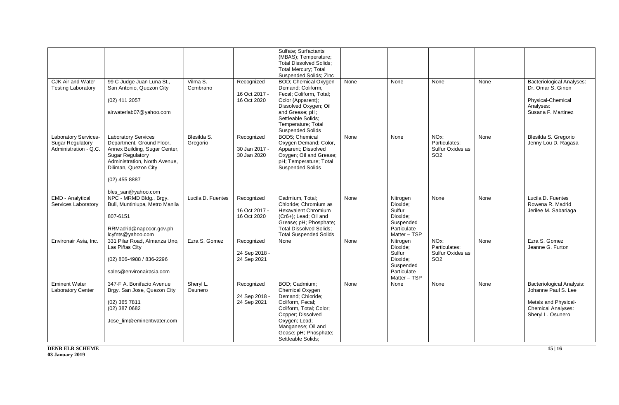| <b>CJK Air and Water</b>                                                 | 99 C Judge Juan Luna St.,                                                                                                                                                                       | Vilma S.                | Recognized                                 | Sulfate; Surfactants<br>(MBAS); Temperature;<br><b>Total Dissolved Solids;</b><br><b>Total Mercury; Total</b><br>Suspended Solids; Zinc<br><b>BOD</b> ; Chemical Oxygen                                         | None | None                                                                                   | None                                                                      | None | <b>Bacteriological Analyses:</b>                                                                                           |
|--------------------------------------------------------------------------|-------------------------------------------------------------------------------------------------------------------------------------------------------------------------------------------------|-------------------------|--------------------------------------------|-----------------------------------------------------------------------------------------------------------------------------------------------------------------------------------------------------------------|------|----------------------------------------------------------------------------------------|---------------------------------------------------------------------------|------|----------------------------------------------------------------------------------------------------------------------------|
| <b>Testing Laboratory</b>                                                | San Antonio, Quezon City<br>(02) 411 2057<br>airwaterlab07@yahoo.com                                                                                                                            | Cembrano                | 16 Oct 2017 -<br>16 Oct 2020               | Demand; Coliform,<br>Fecal; Coliform, Total;<br>Color (Apparent);<br>Dissolved Oxygen; Oil<br>and Grease; pH;<br>Settleable Solids:<br>Temperature; Total<br><b>Suspended Solids</b>                            |      |                                                                                        |                                                                           |      | Dr. Omar S. Ginon<br>Physical-Chemical<br>Analyses:<br>Susana F. Martinez                                                  |
| <b>Laboratory Services-</b><br>Sugar Regulatory<br>Administration - Q.C. | <b>Laboratory Services</b><br>Department, Ground Floor,<br>Annex Building, Sugar Center,<br><b>Sugar Regulatory</b><br>Administration, North Avenue,<br>Diliman, Quezon City<br>$(02)$ 455 8887 | Blesilda S.<br>Gregorio | Recognized<br>30 Jan 2017 -<br>30 Jan 2020 | BOD5; Chemical<br>Oxygen Demand; Color,<br>Apparent; Dissolved<br>Oxygen; Oil and Grease;<br>pH; Temperature; Total<br><b>Suspended Solids</b>                                                                  | None | None                                                                                   | NO <sub>x</sub> ;<br>Particulates:<br>Sulfur Oxides as<br>SO <sub>2</sub> | None | Blesilda S. Gregorio<br>Jenny Lou D. Ragasa                                                                                |
| <b>EMD</b> - Analytical<br>Services Laboratory                           | bles_san@yahoo.com<br>NPC - MRMD Bldg., Brgy.<br>Buli, Muntinlupa, Metro Manila<br>807-6151<br>RRMadrid@napocor.gov.ph<br>lcyfnts@yahoo.com                                                     | Lucila D. Fuentes       | Recognized<br>16 Oct 2017 -<br>16 Oct 2020 | Cadmium, Total;<br>Chloride; Chromium as<br><b>Hexavalent Chromium</b><br>(Cr6+); Lead; Oil and<br>Grease; pH; Phosphate;<br><b>Total Dissolved Solids;</b><br><b>Total Suspended Solids</b>                    | None | Nitrogen<br>Dioxide;<br>Sulfur<br>Dioxide;<br>Suspended<br>Particulate<br>Matter - TSP | None                                                                      | None | Lucila D. Fuentes<br>Rowena R. Madrid<br>Jerilee M. Sabariaga                                                              |
| Environair Asia, Inc.                                                    | 331 Pilar Road, Almanza Uno.<br>Las Piňas City<br>(02) 806-4988 / 836-2296<br>sales@environairasia.com                                                                                          | Ezra S. Gomez           | Recognized<br>24 Sep 2018 -<br>24 Sep 2021 | None                                                                                                                                                                                                            | None | Nitrogen<br>Dioxide;<br>Sulfur<br>Dioxide;<br>Suspended<br>Particulate<br>Matter - TSP | NO <sub>x</sub> :<br>Particulates:<br>Sulfur Oxides as<br>SO <sub>2</sub> | None | Ezra S. Gomez<br>Jeanne G. Furton                                                                                          |
| <b>Eminent Water</b><br>Laboratory Center                                | 347-F A. Bonifacio Avenue<br>Brgy. San Jose, Quezon City<br>$(02)$ 365 7811<br>(02) 387 0682<br>Jose lim@eminentwater.com                                                                       | Sheryl L.<br>Osunero    | Recognized<br>24 Sep 2018 -<br>24 Sep 2021 | BOD; Cadmium;<br>Chemical Oxygen<br>Demand; Chloride;<br>Coliform, Fecal;<br>Coliform, Total; Color;<br>Copper; Dissolved<br>Oxygen; Lead;<br>Manganese; Oil and<br>Gease; pH; Phosphate;<br>Settleable Solids; | None | None                                                                                   | None                                                                      | None | <b>Bacteriological Analysis:</b><br>Johanne Paul S. Lee<br>Metals and Physical-<br>Chemical Analyses:<br>Sheryl L. Osunero |